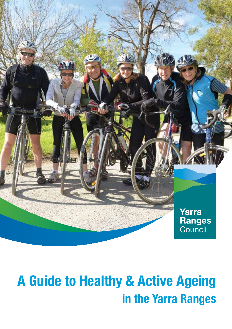

# A Guide to Healthy & Active Ageing in the Yarra Ranges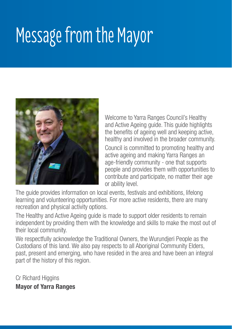# Message from the Mayor



Welcome to Yarra Ranges Council's Healthy and Active Ageing guide. This guide highlights the benefits of ageing well and keeping active, healthy and involved in the broader community. Council is committed to promoting healthy and active ageing and making Yarra Ranges an age-friendly community - one that supports people and provides them with opportunities to contribute and participate, no matter their age or ability level.

The guide provides information on local events, festivals and exhibitions, lifelong learning and volunteering opportunities. For more active residents, there are many recreation and physical activity options.

The Healthy and Active Ageing guide is made to support older residents to remain independent by providing them with the knowledge and skills to make the most out of their local community.

We respectfully acknowledge the Traditional Owners, the Wurundieri People as the Custodians of this land. We also pay respects to all Aboriginal Community Elders, past, present and emerging, who have resided in the area and have been an integral part of the history of this region.

Cr Richard Higgins Mayor of Yarra Ranges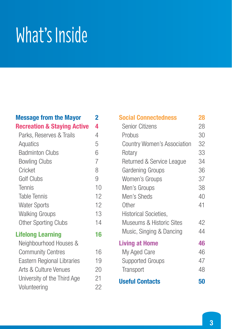# What's Inside

# Message from the Mayor 2

|  | <b>Recreation &amp; Staying Active</b> |  | 4 |
|--|----------------------------------------|--|---|
|--|----------------------------------------|--|---|

| Parks, Reserves & Trails          | 4              |
|-----------------------------------|----------------|
| Aquatics                          | 5              |
| Badminton Clubs                   | 6              |
| <b>Bowling Clubs</b>              | $\overline{7}$ |
| Cricket                           | 8              |
| Golf Clubs                        | 9              |
| <b>Tennis</b>                     | 10             |
| <b>Table Tennis</b>               | 12             |
| <b>Water Sports</b>               | 12             |
| <b>Walking Groups</b>             | 13             |
| <b>Other Sporting Clubs</b>       | 14             |
| <b>Lifelong Learning</b>          | 16             |
| Neighbourhood Houses &            |                |
| <b>Community Centres</b>          | 16             |
| <b>Eastern Regional Libraries</b> | 19             |

| Tennis                      | 10 | ivien′        |  |
|-----------------------------|----|---------------|--|
| <b>Table Tennis</b>         | 12 | Men'          |  |
| <b>Water Sports</b>         | 12 | Other         |  |
| <b>Walking Groups</b>       | 13 | Histo         |  |
| <b>Other Sporting Clubs</b> | 14 | Muse          |  |
| <b>ifelong Learning</b>     | 16 | Musi          |  |
| Neighbourhood Houses &      |    | <b>Living</b> |  |
| <b>Community Centres</b>    | 16 | My A          |  |
| Eastern Regional Libraries  | 19 | Supp          |  |
| Arts & Culture Venues       | 20 | <b>Trans</b>  |  |
| University of the Third Age | 21 | <b>Usefu</b>  |  |
| Volunteering                | 22 |               |  |

| <b>Social Connectedness</b>         | 28 |
|-------------------------------------|----|
| <b>Senior Citizens</b>              | 28 |
| Probus                              | 30 |
| <b>Country Women's Association</b>  | 32 |
| Rotary                              | 33 |
| Returned & Service League           | 34 |
| Gardening Groups                    | 36 |
| Women's Groups                      | 37 |
| Men's Groups                        | 38 |
| Men's Sheds                         | 40 |
| Other                               | 41 |
| <b>Historical Societies,</b>        |    |
| <b>Museums &amp; Historic Sites</b> | 42 |
| Music, Singing & Dancing            | 44 |
| <b>Living at Home</b>               | 46 |
| My Aged Care                        | 46 |
| Supported Groups                    | 47 |
| <b>Transport</b>                    | 48 |
| <b>Useful Contacts</b>              | 50 |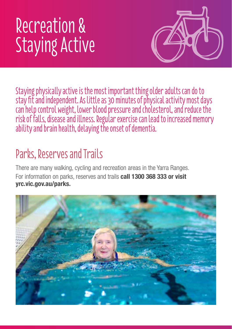# Recreation & Staying Active



Staying physically active is the most important thing older adults can do to stay fit and independent. As little as 30 minutes of physical activity most days can help control weight, lower blood pressure and cholesterol, and reduce the risk of falls, disease and illness. Regular exercise can lead to increased memory ability and brain health, delaying the onset of dementia.

# Parks, Reserves and Trails

There are many walking, cycling and recreation areas in the Yarra Ranges. For information on parks, reserves and trails call 1300 368 333 or visit yrc.vic.gov.au/parks.

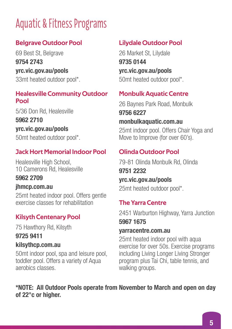# Aquatic & Fitness Programs

# Belgrave Outdoor Pool

69 Best St, Belgrave 9754 2743 yrc.vic.gov.au/pools 33mt heated outdoor pool\*.

#### Healesville Community Outdoor Pool

5/36 Don Rd, Healesville 5962 2710 yrc.vic.gov.au/pools 50mt heated outdoor pool\*.

# Jack Hort Memorial Indoor Pool

Healesville High School, 10 Camerons Rd, Healesville

# 5962 2709

#### jhmcp.com.au

25mt heated indoor pool. Offers gentle exercise classes for rehabilitation

# Kilsyth Centenary Pool

75 Hawthory Rd, Kilsyth

9725 9411

# kilsythcp.com.au

50mt indoor pool, spa and leisure pool, toddler pool. Offers a variety of Aqua aerobics classes.

# Lilydale Outdoor Pool

26 Market St, Lilydale 9735 0144 yrc.vic.gov.au/pools 50mt heated outdoor pool\*.

# Monbulk Aquatic Centre

26 Baynes Park Road, Monbulk 9756 6227 monbulkaquatic.com.au

25mt indoor pool. Offers Chair Yoga and Move to Improve (for over 60's).

# Olinda Outdoor Pool

79-81 Olinda Monbulk Rd, Olinda 9751 2232 yrc.vic.gov.au/pools 25mt heated outdoor pool\*.

# The Yarra Centre

2451 Warburton Highway, Yarra Junction

# 5967 1675

#### yarracentre.com.au

25mt heated indoor pool with aqua exercise for over 50s. Exercise programs including Living Longer Living Stronger program plus Tai Chi, table tennis, and walking groups.

#### \*NOTE: All Outdoor Pools operate from November to March and open on day of 22°c or higher.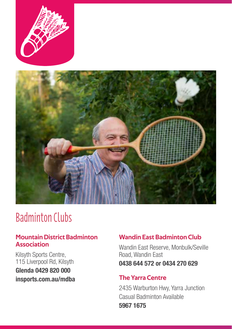



# Badminton Clubs

#### Mountain District Badminton Association

Kilsyth Sports Centre, 115 Liverpool Rd, Kilsyth Glenda 0429 820 000 insports.com.au/mdba

#### Wandin East Badminton Club

Wandin East Reserve, Monbulk/Seville Road, Wandin East 0438 644 572 or 0434 270 629

#### The Yarra Centre

2435 Warburton Hwy, Yarra Junction Casual Badminton Available 5967 1675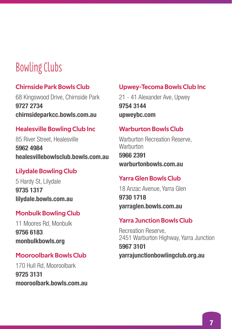# Bowling Clubs

#### Chirnside Park Bowls Club

68 Kingswood Drive, Chirnside Park 9727 2734 chirnsideparkcc.bowls.com.au

#### Healesville Bowling Club Inc

85 River Street, Healesville 5962 4984 healesvillebowlsclub.bowls.com.au

#### Lilydale Bowling Club

5 Hardy St, Lilydale 9735 1317 lilydale.bowls.com.au

#### Monbulk Bowling Club

11 Moores Rd, Monbulk 9756 6183 monbulkbowls.org

#### Mooroolbark Bowls Club

170 Hull Rd, Mooroolbark 9725 3131 mooroolbark.bowls.com.au

#### Upwey-Tecoma Bowls Club Inc

21 - 41 Alexander Ave, Upwey 9754 3144 upweybc.com

#### Warburton Bowls Club

Warburton Recreation Reserve, **Warburton** 5966 2391 warburtonbowls.com.au

#### Yarra Glen Bowls Club

18 Anzac Avenue, Yarra Glen 9730 1718 yarraglen.bowls.com.au

#### Yarra Junction Bowls Club

Recreation Reserve, 2451 Warburton Highway, Yarra Junction 5967 3101 yarrajunctionbowlingclub.org.au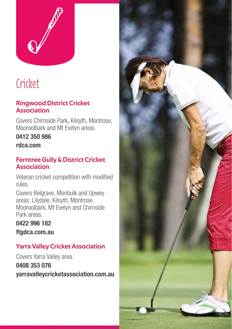

# **Cricket**

### Ringwood District Cricket Association

Covers Chirnside Park, Kilsyth, Montrose, Mooroolbark and Mt Evelyn areas.

0412 350 986

rdca.com

#### Ferntree Gully & District Cricket **Association**

Veteran cricket competition with modified rules.

Covers Belgrave, Monbulk and Upwey areas. Lilydale, Kilsyth, Montrose, Mooroolbark, Mt Evelyn and Chirnside Park areas.

# 0422 996 182

ftgdca.com.au

# Yarra Valley Cricket Association

Covers Yarra Valley area. 0408 353 076 yarravalleycricketassociation.com.au

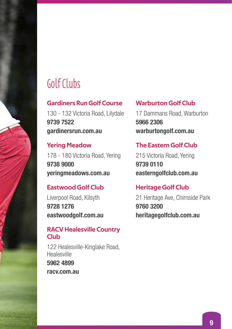# Golf Clubs

#### Gardiners Run Golf Course

130 - 132 Victoria Road, Lilydale 9739 7522 gardinersrun.com.au

#### Yering Meadow

178 - 180 Victoria Road, Yering 9738 9000 yeringmeadows.com.au

# Eastwood Golf Club

Liverpool Road, Kilsyth 9728 1276 eastwoodgolf.com.au

### RACV Healesville Country Club

122 Healesville-Kinglake Road, Healesville 5962 4899 racv.com.au

### Warburton Golf Club

17 Dammans Road, Warburton 5966 2306 warburtongolf.com.au

### The Eastern Golf Club

215 Victoria Road, Yering 9739 0110 easterngolfclub.com.au

### Heritage Golf Club

21 Heritage Ave, Chirnside Park 9760 3200 heritagegolfclub.com.au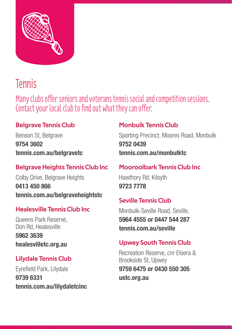

# Tennis

Many clubs offer seniors and veterans tennis social and competition sessions. Contact your local club to find out what they can offer.

# Belgrave Tennis Club

Benson St, Belgrave 9754 3602 tennis.com.au/belgravetc

# Belgrave Heights Tennis Club Inc

Colby Drive, Belgrave Heights 0413 450 866 tennis.com.au/belgraveheightstc

# Healesville Tennis Club Inc

Queens Park Reserve, Don Rd, Healesville 5962 3639 healesvilletc.org.au

# Lilydale Tennis Club

Eyrefield Park, Lilydale 9739 6331 tennis.com.au/lilydaletcinc

# Monbulk Tennis Club

Sporting Precinct, Moores Road, Monbulk 9752 0439 tennis.com.au/monbulktc

# Mooroolbark Tennis Club Inc

Hawthory Rd, Kilsyth 9723 7778

# Seville Tennis Club

Monbulk-Seville Road, Seville, 5964 4555 or 0447 544 287 tennis.com.au/seville

# Upwey South Tennis Club

Recreation Reserve, cnr Eloera & Brookside St, Upwey 9759 6475 or 0430 550 305 ustc.org.au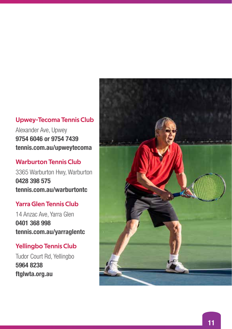#### Upwey-Tecoma Tennis Club

Alexander Ave, Upwey 9754 6046 or 9754 7439 tennis.com.au/upweytecoma

### Warburton Tennis Club

3365 Warburton Hwy, Warburton 0428 398 575 tennis.com.au/warburtontc

#### Yarra Glen Tennis Club

14 Anzac Ave, Yarra Glen 0401 368 998 tennis.com.au/yarraglentc

### Yellingbo Tennis Club

Tudor Court Rd, Yellingbo 5964 8238 ftglwta.org.au

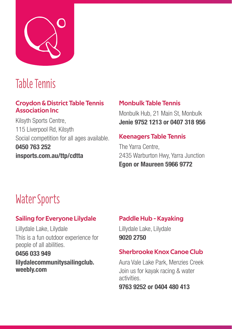

# Table Tennis

#### Croydon & District Table Tennis Association Inc

Kilsyth Sports Centre, 115 Liverpool Rd, Kilsyth Social competition for all ages available. 0450 763 252 insports.com.au/ttp/cdtta

### Monbulk Table Tennis

Monbulk Hub, 21 Main St, Monbulk Jenie 9752 1213 or 0407 318 956

#### Keenagers Table Tennis

The Yarra Centre, 2435 Warburton Hwy, Yarra Junction Egon or Maureen 5966 9772

# Water Sports

# Sailing for Everyone Lilydale

Lillydale Lake, Lilydale This is a fun outdoor experience for people of all abilities.

#### 0456 033 949

#### lilydalecommunitysailingclub. weebly.com

# Paddle Hub - Kayaking

Lillydale Lake, Lilydale 9020 2750

# Sherbrooke Knox Canoe Club

Aura Vale Lake Park, Menzies Creek Join us for kayak racing & water activities.

9763 9252 or 0404 480 413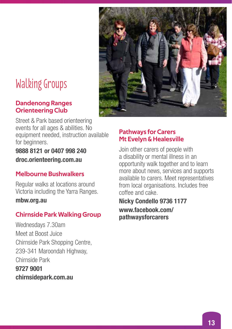# Walking Groups

#### Dandenong Ranges Orienteering Club

Street & Park based orienteering events for all ages & abilities. No equipment needed, instruction available for beginners.

9888 8121 or 0407 998 240 droc.orienteering.com.au

### Melbourne Bushwalkers

Regular walks at locations around Victoria including the Yarra Ranges.

mbw.org.au

### Chirnside Park Walking Group

Wednesdays 7.30am Meet at Boost Juice Chirnside Park Shopping Centre, 239-341 Maroondah Highway, Chirnside Park 9727 9001 chirnsidepark.com.au

#### Pathways for Carers Mt Evelyn & Healesville

Join other carers of people with a disability or mental illness in an opportunity walk together and to learn more about news, services and supports available to carers. Meet representatives from local organisations. Includes free coffee and cake.

Nicky Condello 9736 1177 www.facebook.com/ pathwaysforcarers

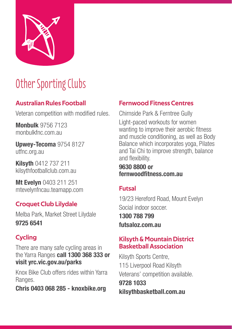

# Other Sporting Clubs

# Australian Rules Football

Veteran competition with modified rules.

Monbulk 9756 7123 monbulkfnc.com.au

Upwey-Tecoma 9754 8127 utfnc.org.au

Kilsyth 0412 737 211 kilsythfootballclub.com.au

Mt Evelyn 0403 211 251 mtevelynfncau.teamapp.com

# Croquet Club Lilydale

Melba Park, Market Street Lilydale 9725 6541

# **Cycling**

There are many safe cycling areas in the Yarra Ranges call 1300 368 333 or visit yrc.vic.gov.au/parks

Knox Bike Club offers rides within Yarra Ranges.

Chris 0403 068 285 - knoxbike.org

# Fernwood Fitness Centres

Chirnside Park & Ferntree Gully Light-paced workouts for women wanting to improve their aerobic fitness and muscle conditioning, as well as Body Balance which incorporates yoga, Pilates and Tai Chi to improve strength, balance and flexibility.

#### 9630 8800 or fernwoodfitness.com.au

# Futsal

19/23 Hereford Road, Mount Evelyn Social indoor soccer.

1300 788 799 futsaloz.com.au

#### Kilsyth & Mountain District Basketball Association

Kilsyth Sports Centre, 115 Liverpool Road Kilsyth Veterans' competition available.

9728 1033 kilsythbasketball.com.au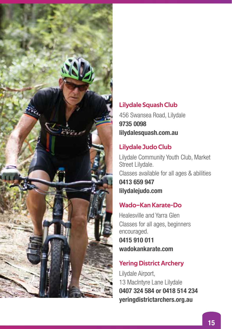

### Lilydale Squash Club

456 Swansea Road, Lilydale 9735 0098 lilydalesquash.com.au

### Lilydale Judo Club

Lilydale Community Youth Club, Market Street Lilydale. Classes available for all ages & abilities 0413 659 947 lilydalejudo.com

# Wado–Kan Karate-Do

Healesville and Yarra Glen Classes for all ages, beginners encouraged. 0415 910 011 wadokankarate.com

# Yering District Archery

Lilydale Airport, 13 MacIntyre Lane Lilydale 0407 324 584 or 0418 514 234 yeringdistrictarchers.org.au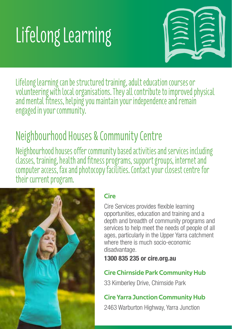# Lifelong Learning



Lifelong learning can be structured training, adult education courses or volunteering with local organisations. They all contribute to improved physical and mental fitness, helping you maintain your independence and remain engaged in your community.

# Neighbourhood Houses & Community Centre

Neighbourhood houses offer community based activities and services including classes, training, health and fitness programs, support groups, internet and computer access, fax and photocopy facilities. Contact your closest centre for their current program.



# Cire

Cire Services provides flexible learning opportunities, education and training and a depth and breadth of community programs and services to help meet the needs of people of all ages, particularly in the Upper Yarra catchment where there is much socio-economic disadvantage.

1300 835 235 or cire.org.au

# Cire Chirnside Park Community Hub

33 Kimberley Drive, Chirnside Park

# Cire Yarra Junction Community Hub

2463 Warburton Highway, Yarra Junction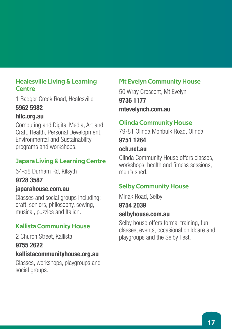#### Healesville Living & Learning **Centre**

1 Badger Creek Road, Healesville 5962 5982

#### hllc.org.au

Computing and Digital Media, Art and Craft, Health, Personal Development, Environmental and Sustainability programs and workshops.

# Japara Living & Learning Centre

54-58 Durham Rd, Kilsyth

# 9728 3587

### japarahouse.com.au

Classes and social groups including: craft, seniors, philosophy, sewing, musical, puzzles and Italian.

# Kallista Community House

2 Church Street, Kallista 9755 2622

### kallistacommunityhouse.org.au

Classes, workshops, playgroups and social groups.

# Mt Evelyn Community House

50 Wray Crescent, Mt Evelyn 9736 1177 mtevelynch.com.au

# Olinda Community House

79-81 Olinda Monbulk Road, Olinda 9751 1264

#### och.net.au

Olinda Community House offers classes, workshops, health and fitness sessions, men's shed.

# Selby Community House

Minak Road, Selby

#### 9754 2039

#### selbyhouse.com.au

Selby house offers formal training, fun classes, events, occasional childcare and playgroups and the Selby Fest.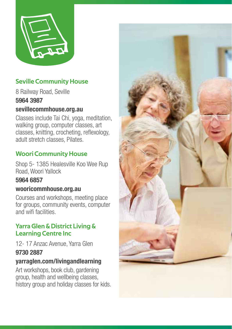

# Seville Community House

8 Railway Road, Seville 5964 3987

### sevillecommhouse.org.au

Classes include Tai Chi, yoga, meditation, walking group, computer classes, art classes, knitting, crocheting, reflexology, adult stretch classes, Pilates.

# Woori Community House

Shop 5- 1385 Healesville Koo Wee Rup Road, Woori Yallock

### 5964 6857

#### wooricommhouse.org.au

Courses and workshops, meeting place for groups, community events, computer and wifi facilities.

### Yarra Glen & District Living & Learning Centre Inc

12- 17 Anzac Avenue, Yarra Glen 9730 2887

# yarraglen.com/livingandlearning

Art workshops, book club, gardening group, health and wellbeing classes, history group and holiday classes for kids.

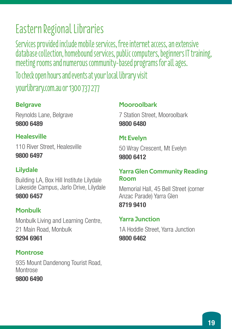# Eastern Regional Libraries

Services provided include mobile services, free internet access, an extensive database collection, homebound services, public computers, beginners IT training, meeting rooms and numerous community-based programs for all ages.

To check open hours and events at your local library visit

yourlibrary.com.au or 1300 737 277

# Belgrave

Reynolds Lane, Belgrave 9800 6489

# Healesville

110 River Street, Healesville 9800 6497

# Lilydale

Building LA, Box Hill Institute Lilydale Lakeside Campus, Jarlo Drive, Lilydale 9800 6457

# Monbulk

Monbulk Living and Learning Centre, 21 Main Road, Monbulk 9294 6961

# **Montrose**

935 Mount Dandenong Tourist Road, Montrose

9800 6490

# Mooroolbark

7 Station Street, Mooroolbark 9800 6480

# Mt Evelyn

50 Wray Crescent, Mt Evelyn 9800 6412

### Yarra Glen Community Reading Room

Memorial Hall, 45 Bell Street (corner Anzac Parade) Yarra Glen

8719 9410

# Yarra Junction

1A Hoddle Street, Yarra Junction 9800 6462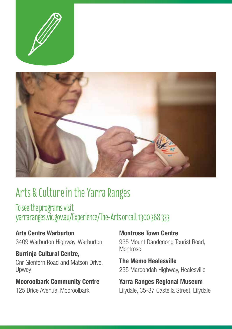



# Arts & Culture in the Yarra Ranges

To see the programs visit yarraranges.vic.gov.au/Experience/The-Arts or call 1300 368 333

Arts Centre Warburton 3409 Warburton Highway, Warburton

Burrinja Cultural Centre, Cnr Glenfern Road and Matson Drive, Upwey

# Mooroolbark Community Centre

125 Brice Avenue, Mooroolbark

### Montrose Town Centre

935 Mount Dandenong Tourist Road, Montrose

The Memo Healesville 235 Maroondah Highway, Healesville

Yarra Ranges Regional Museum Lilydale, 35-37 Castella Street, Lilydale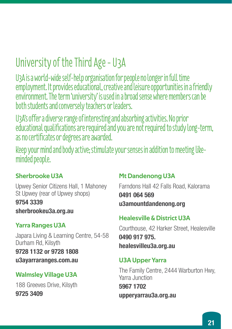# University of the Third Age - U3A

U3A is a world-wide self-help organisation for people no longer in full time employment. It provides educational, creative and leisure opportunities in a friendly environment. The term 'university' is used in a broad sense where members can be both students and conversely teachers or leaders.

U3A's offer a diverse range of interesting and absorbing activities. No prior educational qualifications are required and you are not required to study long-term, as no certificates or degrees are awarded.

Keep your mind and body active; stimulate your senses in addition to meeting likeminded people.

# Sherbrooke U3A

Upwey Senior Citizens Hall, 1 Mahoney St Upwey (rear of Upwey shops)

9754 3339

sherbrookeu3a.org.au

# Yarra Ranges U3A

Japara Living & Learning Centre, 54-58 Durham Rd, Kilsyth 9728 1132 or 9728 1808 u3ayarraranges.com.au

# Walmsley Village U3A

188 Greeves Drive, Kilsyth 9725 3409

# Mt Dandenong U3A

Farndons Hall 42 Falls Road, Kalorama 0491 064 569 u3amountdandenong.org

# Healesville & District U3A

Courthouse, 42 Harker Street, Healesville 0490 917 975. healesvilleu3a.org.au

# U3A Upper Yarra

The Family Centre, 2444 Warburton Hwy, Yarra Junction 5967 1702 upperyarrau3a.org.au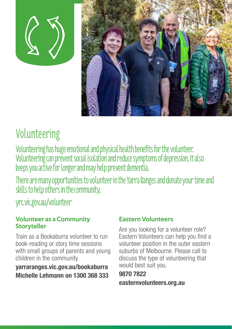



# Volunteering

Volunteering has huge emotional and physical health benefits for the volunteer. Volunteering can prevent social isolation and reduce symptoms of depression. It also keeps you active for longer and may help prevent dementia.

There are many opportunities to volunteer in the Yarra Ranges and donate your time and skills to help others in the community.

yrc.vic.gov.au/volunteer

#### Volunteer as a Community **Storyteller**

Train as a Bookaburra volunteer to run book-reading or story time sessions with small groups of parents and young children in the community.

# yarraranges.vic.gov.au/bookaburra Michelle Lehmann on 1300 368 333

# Eastern Volunteers

Are you looking for a volunteer role? Eastern Volunteers can help you find a volunteer position in the outer eastern suburbs of Melbourne. Please call to discuss the type of volunteering that would best suit you.

9870 7822 easternvolunteers.org.au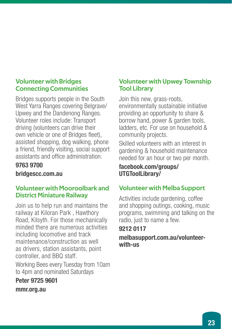#### Volunteer with Bridges Connecting Communities

Bridges supports people in the South West Yarra Ranges covering Belgrave/ Upwey and the Dandenong Ranges. Volunteer roles include: Transport driving (volunteers can drive their own vehicle or one of Bridges fleet), assisted shopping, dog walking, phone a friend, friendly visiting, social support assistants and office administration.

### 9763 9700

bridgescc.com.au

#### Volunteer with Mooroolbark and District Miniature Railway

Join us to help run and maintains the railway at Kiloran Park , Hawthory Road, Kilsyth. For those mechanically minded there are numerous activities including locomotive and track maintenance/construction as well as drivers, station assistants, point controller, and BBQ staff.

Working Bees every Tuesday from 10am to 4pm and nominated Saturdays

Peter 9725 9601 mmr.org.au

### Volunteer with Upwey Township Tool Library

Join this new, grass-roots, environmentally sustainable initiative providing an opportunity to share & borrow hand, power & garden tools, ladders, etc. For use on household & community projects.

Skilled volunteers with an interest in gardening & household maintenance needed for an hour or two per month.

#### facebook.com/groups/ UTGToolLibrary/

# Volunteer with Melba Support

Activities include gardening, coffee and shopping outings, cooking, music programs, swimming and talking on the radio, just to name a few.

# 9212 0117

melbasupport.com.au/volunteerwith-us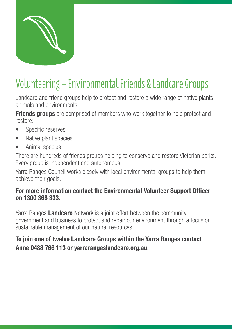

# Volunteering – Environmental Friends & Landcare Groups

Landcare and friend groups help to protect and restore a wide range of native plants, animals and environments.

**Friends groups** are comprised of members who work together to help protect and restore:

- Specific reserves
- Native plant species
- Animal species

There are hundreds of friends groups helping to conserve and restore Victorian parks. Every group is independent and autonomous.

Yarra Ranges Council works closely with local environmental groups to help them achieve their goals.

#### For more information contact the Environmental Volunteer Support Officer on 1300 368 333.

Yarra Ranges Landcare Network is a joint effort between the community. government and business to protect and repair our environment through a focus on sustainable management of our natural resources.

# To join one of twelve Landcare Groups within the Yarra Ranges contact Anne 0488 766 113 or yarrarangeslandcare.org.au.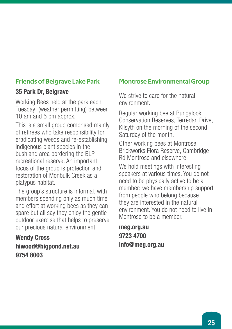### Friends of Belgrave Lake Park

#### 35 Park Dr, Belgrave

Working Bees held at the park each Tuesday (weather permitting) between 10 am and 5 pm approx.

This is a small group comprised mainly of retirees who take responsibility for eradicating weeds and re-establishing indigenous plant species in the bushland area bordering the BLP recreational reserve. An important focus of the group is protection and restoration of Monbulk Creek as a platypus habitat.

The group's structure is informal, with members spending only as much time and effort at working bees as they can spare but all say they enjoy the gentle outdoor exercise that helps to preserve our precious natural environment.

### Wendy Cross hiwood@bigpond.net.au 9754 8003

#### Montrose Environmental Group

We strive to care for the natural environment.

Regular working bee at Bungalook Conservation Reserves, Terredan Drive, Kilsyth on the morning of the second Saturday of the month.

Other working bees at Montrose Brickworks Flora Reserve, Cambridge Rd Montrose and elsewhere.

We hold meetings with interesting speakers at various times. You do not need to be physically active to be a member; we have membership support from people who belong because they are interested in the natural environment. You do not need to live in Montrose to be a member.

meg.org.au 9723 4700 info@meg.org.au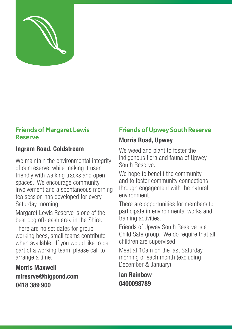

#### Friends of Margaret Lewis Reserve

# Ingram Road, Coldstream

We maintain the environmental integrity of our reserve, while making it user friendly with walking tracks and open spaces. We encourage community involvement and a spontaneous morning tea session has developed for every Saturday morning.

Margaret Lewis Reserve is one of the best dog off-leash area in the Shire.

There are no set dates for group working bees, small teams contribute when available. If you would like to be part of a working team, please call to arrange a time.

Morris Maxwell mlresrve@bigpond.com 0418 389 900

# Friends of Upwey South Reserve

### Morris Road, Upwey

We weed and plant to foster the indigenous flora and fauna of Upwey South Reserve.

We hope to benefit the community and to foster community connections through engagement with the natural environment.

There are opportunities for members to participate in environmental works and training activities.

Friends of Upwey South Reserve is a Child Safe group. We do require that all children are supervised.

Meet at 10am on the last Saturday morning of each month (excluding December & January).

Ian Rainbow 0400098789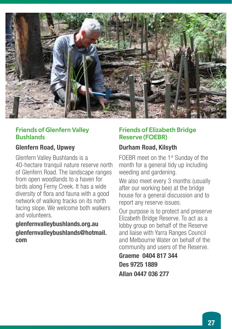

#### Friends of Glenfern Valley Bushlands

#### Glenfern Road, Upwey

Glenfern Valley Bushlands is a 40-hectare tranquil nature reserve north of Glenfern Road. The landscape ranges from open woodlands to a haven for birds along Ferny Creek. It has a wide diversity of flora and fauna with a good network of walking tracks on its north facing slope. We welcome both walkers and volunteers.

#### glenfernvalleybushlands.org.au glenfernvalleybushlands@hotmail. com

#### Friends of Elizabeth Bridge Reserve (FOEBR)

# Durham Road, Kilsyth

FOEBR meet on the 1<sup>st</sup> Sunday of the month for a general tidy up including weeding and gardening.

We also meet every 3 months (usually after our working bee) at the bridge house for a general discussion and to report any reserve issues.

Our purpose is to protect and preserve Elizabeth Bridge Reserve. To act as a lobby group on behalf of the Reserve and liaise with Yarra Ranges Council and Melbourne Water on behalf of the community and users of the Reserve.

Graeme 0404 817 344 Des 9725 1889 Allan 0447 036 277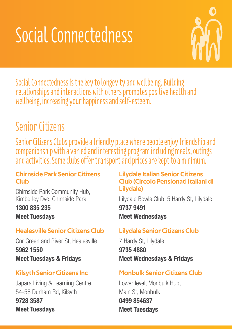# Social Connectedness



Social Connectedness is the key to longevity and wellbeing. Building relationships and interactions with others promotes positive health and wellbeing, increasing your happiness and self-esteem.

# Senior Citizens

Senior Citizens Clubs provide a friendly place where people enjoy friendship and companionship with a varied and interesting program including meals, outings and activities. Some clubs offer transport and prices are kept to a minimum.

#### Chirnside Park Senior Citizens Club

Chirnside Park Community Hub, Kimberley Dve, Chirnside Park

1300 835 235 Meet Tuesdays

# Healesville Senior Citizens Club

Cnr Green and River St, Healesville 5962 1550 Meet Tuesdays & Fridays

# Kilsyth Senior Citizens Inc

Japara Living & Learning Centre, 54-58 Durham Rd, Kilsyth 9728 3587 Meet Tuesdays

### Lilydale Italian Senior Citizens Club (Circolo Pensionati Italiani di Lilydale)

Lilydale Bowls Club, 5 Hardy St, Lilydale 9737 9491 Meet Wednesdays

# Lilydale Senior Citizens Club

7 Hardy St, Lilydale 9735 4880 Meet Wednesdays & Fridays

# Monbulk Senior Citizens Club

Lower level, Monbulk Hub, Main St, Monbulk 0499 854637 Meet Tuesdays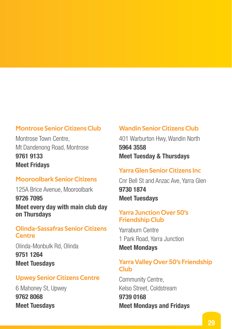#### Montrose Senior Citizens Club

Montrose Town Centre, Mt Dandenong Road, Montrose 9761 9133 Meet Fridays

### Mooroolbark Senior Citizens

125A Brice Avenue, Mooroolbark 9726 7095 Meet every day with main club day on Thursdays

#### Olinda-Sassafras Senior Citizens **Centre**

Olinda-Monbulk Rd, Olinda 9751 1264 Meet Tuesdays

#### Upwey Senior Citizens Centre

6 Mahoney St, Upwey 9762 8068 Meet Tuesdays

#### Wandin Senior Citizens Club

401 Warburton Hwy, Wandin North 5964 3558 Meet Tuesday & Thursdays

#### Yarra Glen Senior Citizens Inc

Cnr Bell St and Anzac Ave, Yarra Glen 9730 1874 Meet Tuesdays

#### Yarra Junction Over 50's Friendship Club

Yarraburn Centre 1 Park Road, Yarra Junction Meet Mondays

#### Yarra Valley Over 50's Friendship Club

Community Centre, Kelso Street, Coldstream 9739 0168 Meet Mondays and Fridays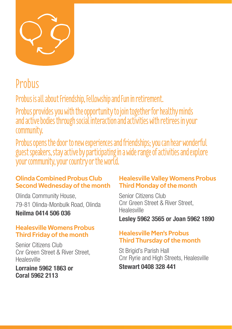

# **Probus**

Probus is all about Friendship, Fellowship and Fun in retirement.

Probus provides you with the opportunity to join together for healthy minds and active bodies through social interaction and activities with retirees in your community.

Probus opens the door to new experiences and friendships; you can hear wonderful guest speakers, stay active by participating in a wide range of activities and explore your community, your country or the world.

### Olinda Combined Probus Club Second Wednesday of the month

Olinda Community House, 79-81 Olinda-Monbulk Road, Olinda Neilma 0414 506 036

#### Healesville Womens Probus Third Friday of the month

Senior Citizens Club Cnr Green Street & River Street, Healesville

Lorraine 5962 1863 or Coral 5962 2113

#### Healesville Valley Womens Probus Third Monday of the month

Senior Citizens Club Cnr Green Street & River Street Healesville

Lesley 5962 3565 or Joan 5962 1890

### Healesville Men's Probus Third Thursday of the month

St Brigid's Parish Hall Cnr Ryrie and High Streets, Healesville Stewart 0408 328 441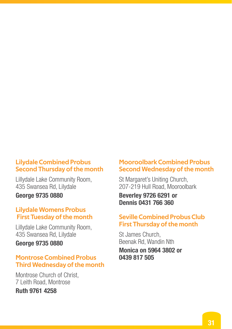#### Lilydale Combined Probus Second Thursday of the month

Lillydale Lake Community Room, 435 Swansea Rd, Lilydale

George 9735 0880

#### Lilydale Womens Probus First Tuesday of the month

Lillydale Lake Community Room, 435 Swansea Rd, Lilydale

George 9735 0880

#### Montrose Combined Probus Third Wednesday of the month

Montrose Church of Christ, 7 Leith Road, Montrose

### Ruth 9761 4258

#### Mooroolbark Combined Probus Second Wednesday of the month

St Margaret's Uniting Church, 207-219 Hull Road, Mooroolbark

Beverley 9726 6291 or Dennis 0431 766 360

### Seville Combined Probus Club First Thursday of the month

St James Church, Beenak Rd, Wandin Nth Monica on 5964 3802 or 0439 817 505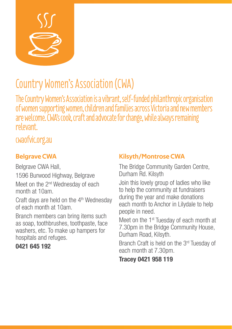

# Country Women's Association (CWA)

The Country Women's Association is a vibrant, self-funded philanthropic organisation of women supporting women, children and families across Victoria and new members are welcome. CWA's cook, craft and advocate for change, while always remaining relevant.

# cwaofvic.org.au

# Belgrave CWA

Belgrave CWA Hall, 1596 Burwood Highway, Belgrave Meet on the 2<sup>nd</sup> Wednesday of each month at 10am.

Craft days are held on the 4<sup>th</sup> Wednesday of each month at 10am.

Branch members can bring items such as soap, toothbrushes, toothpaste, face washers, etc. To make up hampers for hospitals and refuges.

# 0421 645 192

# Kilsyth/Montrose CWA

The Bridge Community Garden Centre, Durham Rd. Kilsyth

Join this lovely group of ladies who like to help the community at fundraisers during the year and make donations each month to Anchor in Lilydale to help people in need.

Meet on the 1<sup>st</sup> Tuesday of each month at 7.30pm in the Bridge Community House, Durham Road, Kilsyth.

Branch Craft is held on the 3rd Tuesday of each month at 7.30pm.

Tracey 0421 958 119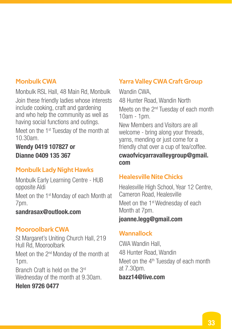#### Monbulk CWA

Monbulk RSL Hall, 48 Main Rd, Monbulk Join these friendly ladies whose interests include cooking, craft and gardening and who help the community as well as having social functions and outings.

Meet on the 1<sup>st</sup> Tuesday of the month at 10.30am.

Wendy 0419 107827 or Dianne 0409 135 367

# Monbulk Lady Night Hawks

Monbulk Early Learning Centre - HUB opposite Aldi

Meet on the 1<sup>st</sup> Monday of each Month at 7pm.

#### sandrasax@outlook.com

### Mooroolbark CWA

St Margaret's Uniting Church Hall, 219 Hull Rd, Mooroolbark Meet on the 2nd Monday of the month at 1pm.

Branch Craft is held on the 3rd Wednesday of the month at 9.30am.

### Helen 9726 0477

# Yarra Valley CWA Craft Group

Wandin CWA 48 Hunter Road, Wandin North Meets on the 2<sup>nd</sup> Tuesday of each month 10am - 1pm.

New Members and Visitors are all welcome - bring along your threads, yarns, mending or just come for a friendly chat over a cup of tea/coffee.

#### cwaofvicyarravalleygroup@gmail. com

# Healesville Nite Chicks

Healesville High School, Year 12 Centre, Cameron Road, Healesville Meet on the 1<sup>st</sup> Wednesday of each Month at 7pm.

### joanne.legg@gmail.com

### **Wannallock**

CWA Wandin Hall, 48 Hunter Road, Wandin Meet on the  $4<sup>th</sup>$  Tuesday of each month at 7.30pm. bazz14@live.com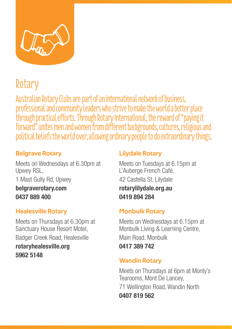

# Rotary

Australian Rotary Clubs are part of an international network of business, professional and community leaders who strive to make the world a better place through practical efforts. Through Rotary International, the reward of "paying it forward" unites men and women from different backgrounds, cultures, religious and political beliefs the world over, allowing ordinary people to do extraordinary things.

### Belgrave Rotary

Meets on Wednesdays at 6.30pm at Upwey RSL, 1 Mast Gully Rd, Upwey belgraverotary.com 0437 889 400

# Healesville Rotary

Meets on Thursdays at 6.30pm at Sanctuary House Resort Motel, Badger Creek Road, Healesville

rotaryhealesville.org 5962 5148

### Lilydale Rotary

Meets on Tuesdays at 6.15pm at L'Auberge French Café, 42 Castella St, Lilydale rotarylilydale.org.au 0419 894 284

### Monbulk Rotary

Meets on Wednesdays at 6.15pm at Monbulk Living & Learning Centre, Main Road, Monbulk 0417 389 742

### Wandin Rotary

Meets on Thursdays at 6pm at Monty's Tearooms, Mont De Lancey, 71 Wellington Road, Wandin North 0407 819 562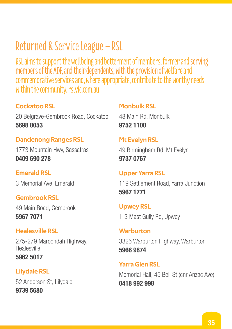# Returned & Service League – RSL

RSL aims to support the wellbeing and betterment of members, former and serving members of the ADF, and their dependents, with the provision of welfare and commemorative services and, where appropriate, contribute to the worthy needs within the community. rslvic.com.au

### Cockatoo RSL

20 Belgrave-Gembrook Road, Cockatoo 5698 8053

### Dandenong Ranges RSL

1773 Mountain Hwy, Sassafras 0409 690 278

#### Emerald RSL

3 Memorial Ave, Emerald

#### Gembrook RSL

49 Main Road, Gembrook 5967 7071

#### Healesville RSL

275-279 Maroondah Highway, Healesville 5962 5017

# Lilydale RSL

52 Anderson St, Lilydale 9739 5680

#### Monbulk RSL

48 Main Rd, Monbulk 9752 1100

#### Mt Evelyn RSL

49 Birmingham Rd, Mt Evelyn 9737 0767

#### Upper Yarra RSL

119 Settlement Road, Yarra Junction 5967 1771

Upwey RSL 1-3 Mast Gully Rd, Upwey

**Warburton** 3325 Warburton Highway, Warburton 5966 9874

Yarra Glen RSL Memorial Hall, 45 Bell St (cnr Anzac Ave) 0418 992 998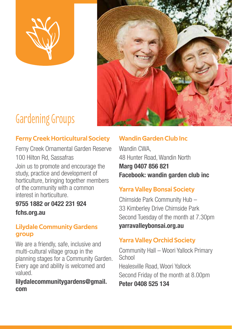



# Gardening Groups

# Ferny Creek Horticultural Society

Ferny Creek Ornamental Garden Reserve 100 Hilton Rd, Sassafras

Join us to promote and encourage the study, practice and development of horticulture, bringing together members of the community with a common interest in horticulture.

# 9755 1882 or 0422 231 924 fchs.org.au

#### Lilydale Community Gardens group

We are a friendly, safe, inclusive and multi-cultural village group in the planning stages for a Community Garden. Every age and ability is welcomed and valued.

#### lilydalecommunitygardens@gmail. com

# Wandin Garden Club Inc

Wandin CWA 48 Hunter Road, Wandin North

Marg 0407 856 821 Facebook: wandin garden club inc

# Yarra Valley Bonsai Society

Chirnside Park Community Hub – 33 Kimberley Drive Chirnside Park Second Tuesday of the month at 7.30pm yarravalleybonsai.org.au

# Yarra Valley Orchid Society

Community Hall – Woori Yallock Primary **School** 

Healesville Road, Woori Yallock Second Friday of the month at 8.00pm

Peter 0408 525 134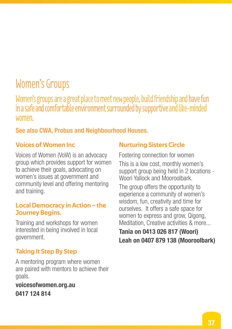# Women's Groups

Women's groups are a great place to meet new people, build friendship and have fun in a safe and comfortable environment surrounded by supportive and like-minded women.

### See also CWA, Probus and Neighbourhood Houses.

#### Voices of Women Inc

Voices of Women (VoW) is an advocacy group which provides support for women to achieve their goals, advocating on women's issues at government and community level and offering mentoring and training.

#### Local Democracy in Action – the Journey Begins.

Training and workshops for women interested in being involved in local government.

# Taking It Step By Step

A mentoring program where women are paired with mentors to achieve their goals.

voicesofwomen.org.au 0417 124 814

# Nurturing Sisters Circle

Fostering connection for women This is a low cost, monthly women's support group being held in 2 locations - Woori Yallock and Mooroolbark.

The group offers the opportunity to experience a community of women's wisdom, fun, creativity and time for ourselves. It offers a safe space for women to express and grow, Qigong, Meditation, Creative activities & more...

# Tania on 0413 026 817 (Woori) Leah on 0407 879 138 (Mooroolbark)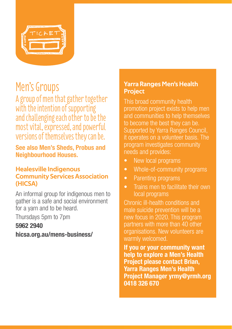

# Men's Groups

A group of men that gather together with the intention of supporting and challenging each other to be the most vital, expressed, and powerful versions of themselves they can be.

See also Men's Sheds, Probus and Neighbourhood Houses.

#### Healesville Indigenous Community Services Association (HICSA)

An informal group for indigenous men to gather is a safe and social environment for a yarn and to be heard.

Thursdays 5pm to 7pm

### 5962 2940

hicsa.org.au/mens-business/

#### Yarra Ranges Men's Health Project

This broad community health promotion project exists to help men and communities to help themselves to become the best they can be. Supported by Yarra Ranges Council, it operates on a volunteer basis. The program investigates community needs and provides:

- New local programs
- Whole-of-community programs
- Parenting programs
- Trains men to facilitate their own local programs

Chronic ill-health conditions and male suicide prevention will be a new focus in 2020. This program partners with more than 40 other organisations. New volunteers are warmly welcomed.

If you or your community want help to explore a Men's Health Project please contact Brian, Yarra Ranges Men's Health Project Manager yrmy@yrmh.org 0418 326 670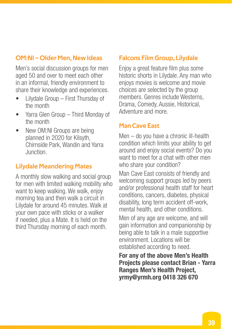### OM:NI – Older Men, New Ideas

Men's social discussion groups for men aged 50 and over to meet each other in an informal, friendly environment to share their knowledge and experiences.

- Lilydale Group First Thursday of the month
- Yarra Glen Group Third Monday of the month
- New OM:NI Groups are being planned in 2020 for Kilsyth, Chirnside Park, Wandin and Yarra Junction.

### Lilydale Meandering Mates

A monthly slow walking and social group for men with limited walking mobility who want to keep walking. We walk, enjoy morning tea and then walk a circuit in Lilydale for around 45 minutes. Walk at your own pace with sticks or a walker if needed, plus a Mate. It is held on the third Thursday morning of each month.

#### Falcons Film Group, Lilydale

Enjoy a great feature film plus some historic shorts in Lilydale. Any man who enjoys movies is welcome and movie choices are selected by the group members. Genres include Westerns, Drama, Comedy, Aussie, Historical, Adventure and more.

#### Man Cave East

Men – do you have a chronic ill-health condition which limits your ability to get around and enjoy social events? Do you want to meet for a chat with other men who share your condition?

Man Cave East consists of friendly and welcoming support groups led by peers and/or professional health staff for heart conditions, cancers, diabetes, physical disability, long term accident off-work, mental health, and other conditions.

Men of any age are welcome, and will gain information and companionship by being able to talk in a male supportive environment. Locations will be established according to need.

For any of the above Men's Health Projects please contact Brian - Yarra Ranges Men's Health Project, yrmy@yrmh.org 0418 326 670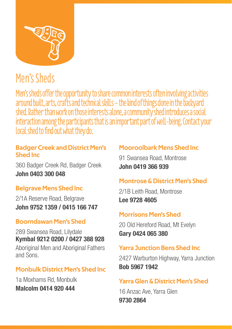

# Men's Sheds

Men's sheds offer the opportunity to share common interests often involving activities around built, arts, crafts and technical skills - the kind of things done in the backyard shed. Rather than work on those interests alone, a community shed introduces a social interaction among the participants that is an important part of well-being. Contact your local shed to find out what they do.

### Badger Creek and District Men's Shed Inc

360 Badger Creek Rd, Badger Creek John 0403 300 048

# Belgrave Mens Shed Inc

2/1A Reserve Road, Belgrave John 9752 1359 / 0415 166 747

# Boorndawan Men's Shed

289 Swansea Road, Lilydale Kymbal 9212 0200 / 0427 388 928 Aboriginal Men and Aboriginal Fathers and Sons.

# Monbulk District Men's Shed Inc

1a Moxhams Rd, Monbulk Malcolm 0414 920 444

# Mooroolbark Mens Shed Inc

91 Swansea Road, Montrose John 0419 366 939

# Montrose & District Men's Shed

2/1B Leith Road, Montrose Lee 9728 4605

# Morrisons Men's Shed

20 Old Hereford Road, Mt Evelyn Gary 0424 065 380

# Yarra Junction Bens Shed Inc

2427 Warburton Highway, Yarra Junction Bob 5967 1942

# Yarra Glen & District Men's Shed

16 Anzac Ave, Yarra Glen 9730 2864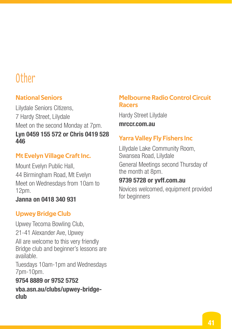# Other

# National Seniors

Lilydale Seniors Citizens, 7 Hardy Street, Lilydale Meet on the second Monday at 7pm. Lyn 0459 155 572 or Chris 0419 528 446

# Mt Evelyn Village Craft Inc.

Mount Evelyn Public Hall, 44 Birmingham Road, Mt Evelyn Meet on Wednesdays from 10am to 12pm.

#### Janna on 0418 340 931

# Upwey Bridge Club

Upwey Tecoma Bowling Club, 21-41 Alexander Ave, Upwey All are welcome to this very friendly Bridge club and beginner's lessons are available.

Tuesdays 10am-1pm and Wednesdays 7pm-10pm.

### 9754 8889 or 9752 5752

vba.asn.au/clubs/upwey-bridgeclub

#### Melbourne Radio Control Circuit Racers

Hardy Street Lilydale

mrccr.com.au

# Yarra Valley Fly Fishers Inc

Lillydale Lake Community Room, Swansea Road, Lilydale General Meetings second Thursday of the month at 8pm.

# 9739 5728 or yvff.com.au

Novices welcomed, equipment provided for beginners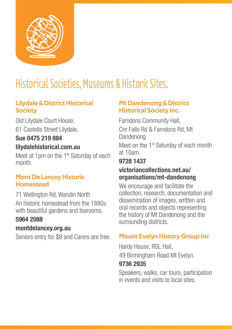

# Historical Societies, Museums & Historic Sites.

### Lilydale & District Historical **Society**

Old Lilydale Court House, 61 Castella Street Lilydale.

# Sue 0475 219 884 lilydalehistorical.com.au

Meet at 1pm on the 1<sup>st</sup> Saturday of each month.

#### Mont De Lancey Historic **Homestead**

71 Wellington Rd, Wandin North An historic homestead from the 1880s with beautiful gardens and tearooms.

# 5964 2088

# montdelancey.org.au

Seniors entry for \$8 and Carers are free.

### Mt Dandenong & District Historical Society Inc.

Farndons Community Hall, Cnr Falls Rd & Farndons Rd, Mt Dandenong Meet on the 1<sup>st</sup> Saturday of each month

at 10am.

# 9728 1437

### victoriancollections.net.au/ organisations/mt-dandenong

We encourage and facilitate the collection, research, documentation and dissemination of images, written and oral records and objects representing the history of Mt Dandenong and the surrounding districts.

# Mount Evelyn History Group Inc

Hardy House, RSL Hall, 49 Birmingham Road Mt Evelyn.

### 9736 2935

Speakers, walks, car tours, participation in events and visits to local sites.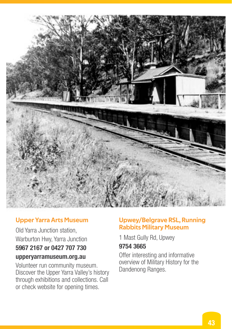

#### Upper Yarra Arts Museum

Old Yarra Junction station, Warburton Hwy, Yarra Junction

# 5967 2167 or 0427 707 730 upperyarramuseum.org.au

Volunteer run community museum. Discover the Upper Yarra Valley's history through exhibitions and collections. Call or check website for opening times.

#### Upwey/Belgrave RSL, Running Rabbits Military Museum

1 Mast Gully Rd, Upwey

#### 9754 3665

Offer interesting and informative overview of Military History for the Dandenong Ranges.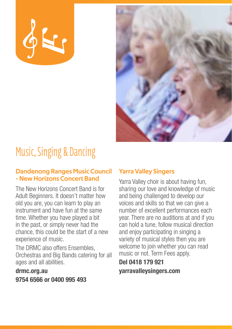



# Music, Singing & Dancing

#### Dandenong Ranges Music Council - New Horizons Concert Band

The New Horizons Concert Band is for Adult Beginners. It doesn't matter how old you are, you can learn to play an instrument and have fun at the same time. Whether you have played a bit in the past, or simply never had the chance, this could be the start of a new experience of music.

The DRMC also offers Ensembles, Orchestras and Big Bands catering for all ages and all abilities.

drmc.org.au 9754 6566 or 0400 995 493

### Yarra Valley Singers

Yarra Valley choir is about having fun, sharing our love and knowledge of music and being challenged to develop our voices and skills so that we can give a number of excellent performances each year. There are no auditions at and if you can hold a tune, follow musical direction and enjoy participating in singing a variety of musical styles then you are welcome to join whether you can read music or not. Term Fees apply.

### Del 0418 179 921 yarravalleysingers.com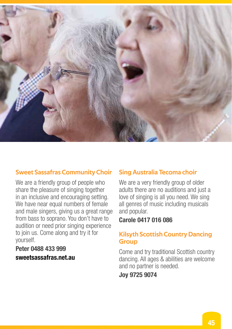

### Sweet Sassafras Community Choir

We are a friendly group of people who share the pleasure of singing together in an inclusive and encouraging setting. We have near equal numbers of female and male singers, giving us a great range from bass to soprano. You don't have to audition or need prior singing experience to join us. Come along and try it for yourself.

### Peter 0488 433 999 sweetsassafras.net.au

#### Sing Australia Tecoma choir

We are a very friendly group of older adults there are no auditions and just a love of singing is all you need. We sing all genres of music including musicals and popular.

#### Carole 0417 016 086

#### Kilsyth Scottish Country Dancing **Group**

Come and try traditional Scottish country dancing. All ages & abilities are welcome and no partner is needed.

#### Joy 9725 9074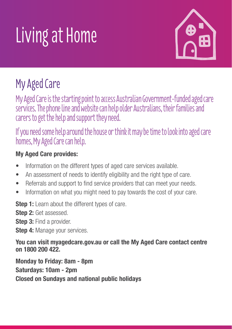# Living at Home



# My Aged Care

My Aged Care is the starting point to access Australian Government-funded aged care services. The phone line and website can help older Australians, their families and carers to get the help and support they need.

If you need some help around the house or think it may be time to look into aged care homes, My Aged Care can help.

# My Aged Care provides:

- Information on the different types of aged care services available.
- An assessment of needs to identify eligibility and the right type of care.
- Referrals and support to find service providers that can meet your needs.
- Information on what you might need to pay towards the cost of your care.

**Step 1:** Learn about the different types of care.

Step 2: Get assessed.

Step 3: Find a provider.

Step 4: Manage your services.

You can visit myagedcare.gov.au or call the My Aged Care contact centre on 1800 200 422.

Monday to Friday: 8am - 8pm Saturdays: 10am - 2pm Closed on Sundays and national public holidays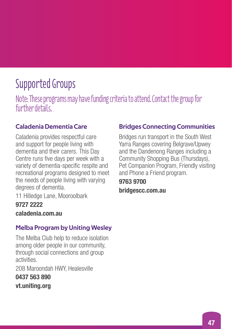# Supported Groups

Note: These programs may have funding criteria to attend. Contact the group for further details

# Caladenia Dementia Care

Caladenia provides respectful care and support for people living with dementia and their carers. This Day Centre runs five days per week with a variety of dementia-specific respite and recreational programs designed to meet the needs of people living with varying degrees of dementia.

11 Hilledge Lane, Mooroolbark

# 9727 2222

caladenia.com.au

# Melba Program by Uniting Wesley

The Melba Club help to reduce isolation among older people in our community, through social connections and group activities.

208 Maroondah HWY, Healesville

0437 563 890 vt.uniting.org

# Bridges Connecting Communities

Bridges run transport in the South West Yarra Ranges covering Belgrave/Upwey and the Dandenong Ranges including a Community Shopping Bus (Thursdays), Pet Companion Program, Friendly visiting and Phone a Friend program.

### 9763 9700 bridgescc.com.au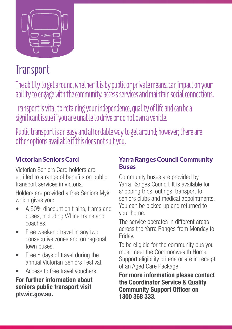

# **Transport**

The ability to get around, whether it is by public or private means, can impact on your ability to engage with the community, access services and maintain social connections.

Transport is vital to retaining your independence, quality of life and can be a significant issue if you are unable to drive or do not own a vehicle.

Public transport is an easy and affordable way to get around; however, there are other options available if this does not suit you.

# Victorian Seniors Card

Victorian Seniors Card holders are entitled to a range of benefits on public transport services in Victoria.

Holders are provided a free Seniors Myki which gives you:

- A 50% discount on trains, trams and buses, including V/Line trains and coaches.
- Free weekend travel in any two consecutive zones and on regional town buses.
- Free 8 days of travel during the annual Victorian Seniors Festival.
- Access to free travel vouchers.

For further information about seniors public transport visit ptv.vic.gov.au.

### Yarra Ranges Council Community Buses

Community buses are provided by Yarra Ranges Council. It is available for shopping trips, outings, transport to seniors clubs and medical appointments. You can be picked up and returned to your home.

The service operates in different areas across the Yarra Ranges from Monday to Friday.

To be eligible for the community bus you must meet the Commonwealth Home Support eligibility criteria or are in receipt of an Aged Care Package.

For more information please contact the Coordinator Service & Quality Community Support Officer on 1300 368 333.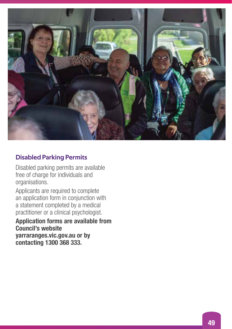

#### Disabled Parking Permits

Disabled parking permits are available free of charge for individuals and organisations.

Applicants are required to complete an application form in conjunction with a statement completed by a medical practitioner or a clinical psychologist.

#### Application forms are available from Council's website yarraranges.vic.gov.au or by contacting 1300 368 333.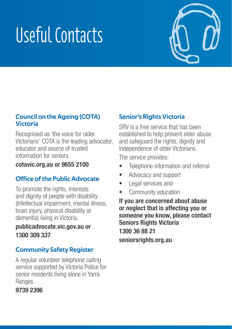# Useful Contacts



#### Council on the Ageing (COTA) Victoria

Recognised as 'the voice for older Victorians' COTA is the leading advocator, educator and source of trusted information for seniors.

cotavic.org.au or 9655 2100

# Office of the Public Advocate

To promote the rights, interests and dignity of people with disability (Intellectual impairment, mental illness, brain injury, physical disability or dementia) living in Victoria.

### publicadvocate.vic.gov.au or 1300 309 337

# Community Safety Register

A regular volunteer telephone calling service supported by Victoria Police for senior residents living alone in Yarra Ranges.

### 9739 2396

# Senior's Rights Victoria

SRV is a free service that has been established to help prevent elder abuse and safeguard the rights, dignity and independence of older Victorians.

The service provides:

- Telephone information and referral
- Advocacy and support
- Legal services and
- Community education

If you are concerned about abuse or neglect that is affecting you or someone you know, please contact Seniors Rights Victoria 1300 36 88 21 seniorsrights.org.au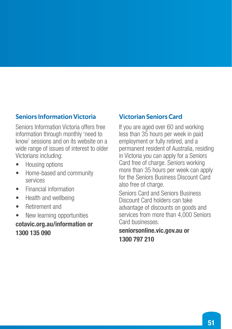### Seniors Information Victoria

Seniors Information Victoria offers free information through monthly 'need to know' sessions and on its website on a wide range of issues of interest to older Victorians including:

- Housing options
- Home-based and community services
- Financial information
- Health and wellbeing
- Retirement and

• New learning opportunities cotavic.org.au/information or 1300 135 090

#### Victorian Seniors Card

If you are aged over 60 and working less than 35 hours per week in paid employment or fully retired, and a permanent resident of Australia, residing in Victoria you can apply for a Seniors Card free of charge. Seniors working more than 35 hours per week can apply for the Seniors Business Discount Card also free of charge.

Seniors Card and Seniors Business Discount Card holders can take advantage of discounts on goods and services from more than 4,000 Seniors Card businesses.

#### seniorsonline.vic.gov.au or 1300 797 210